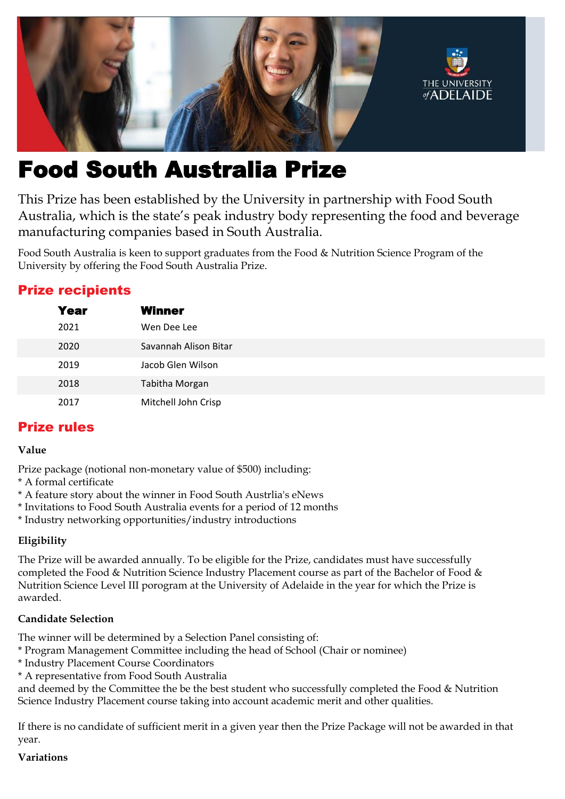

# Food South Australia Prize

This Prize has been established by the University in partnership with Food South Australia, which is the state's peak industry body representing the food and beverage manufacturing companies based in South Australia.

Food South Australia is keen to support graduates from the Food & Nutrition Science Program of the University by offering the Food South Australia Prize.

# Prize recipients

| <b>Year</b> | <b>Winner</b>         |
|-------------|-----------------------|
| 2021        | Wen Dee Lee           |
| 2020        | Savannah Alison Bitar |
| 2019        | Jacob Glen Wilson     |
| 2018        | Tabitha Morgan        |
| 2017        | Mitchell John Crisp   |

# Prize rules

## **Value**

Prize package (notional non-monetary value of \$500) including:

- \* A formal certificate
- \* A feature story about the winner in Food South Austrlia's eNews
- \* Invitations to Food South Australia events for a period of 12 months
- \* Industry networking opportunities/industry introductions

## **Eligibility**

The Prize will be awarded annually. To be eligible for the Prize, candidates must have successfully completed the Food & Nutrition Science Industry Placement course as part of the Bachelor of Food & Nutrition Science Level III porogram at the University of Adelaide in the year for which the Prize is awarded.

## **Candidate Selection**

The winner will be determined by a Selection Panel consisting of:

- \* Program Management Committee including the head of School (Chair or nominee)
- \* Industry Placement Course Coordinators
- \* A representative from Food South Australia

and deemed by the Committee the be the best student who successfully completed the Food & Nutrition Science Industry Placement course taking into account academic merit and other qualities.

If there is no candidate of sufficient merit in a given year then the Prize Package will not be awarded in that year.

## **Variations**